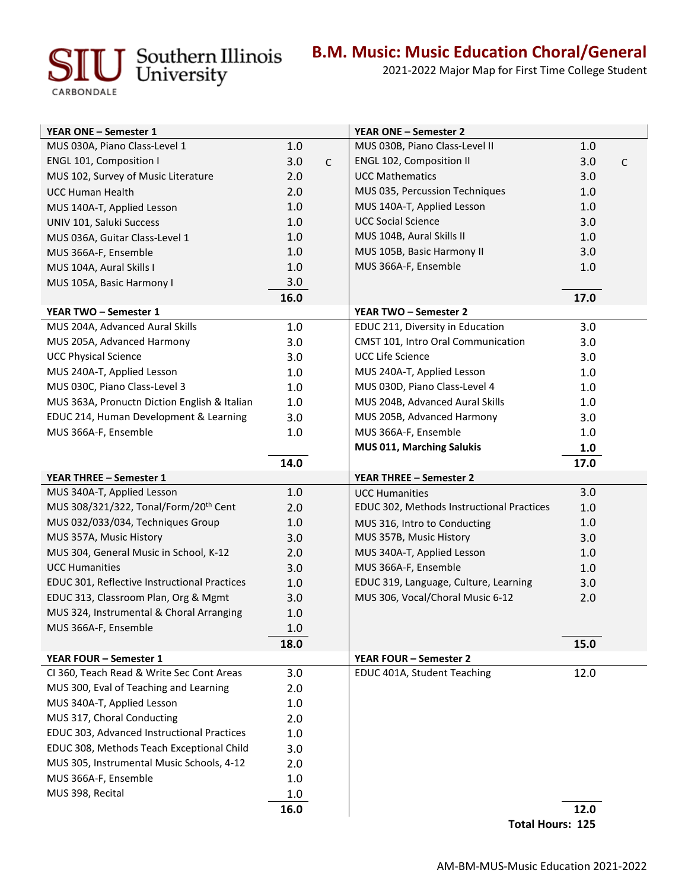## **B.M. Music: Music Education Choral/General**

2021-2022 Major Map for First Time College Student

| YEAR ONE - Semester 1                             |      |              | YEAR ONE - Semester 2                     |      |   |
|---------------------------------------------------|------|--------------|-------------------------------------------|------|---|
| MUS 030A, Piano Class-Level 1                     | 1.0  |              | MUS 030B, Piano Class-Level II            | 1.0  |   |
| ENGL 101, Composition I                           | 3.0  | $\mathsf{C}$ | ENGL 102, Composition II                  | 3.0  | C |
| MUS 102, Survey of Music Literature               | 2.0  |              | <b>UCC Mathematics</b>                    | 3.0  |   |
| <b>UCC Human Health</b>                           | 2.0  |              | MUS 035, Percussion Techniques            | 1.0  |   |
| MUS 140A-T, Applied Lesson                        | 1.0  |              | MUS 140A-T, Applied Lesson                | 1.0  |   |
| UNIV 101, Saluki Success                          | 1.0  |              | <b>UCC Social Science</b>                 | 3.0  |   |
| MUS 036A, Guitar Class-Level 1                    | 1.0  |              | MUS 104B, Aural Skills II                 | 1.0  |   |
| MUS 366A-F, Ensemble                              | 1.0  |              | MUS 105B, Basic Harmony II                | 3.0  |   |
| MUS 104A, Aural Skills I                          | 1.0  |              | MUS 366A-F, Ensemble                      | 1.0  |   |
| MUS 105A, Basic Harmony I                         | 3.0  |              |                                           |      |   |
|                                                   | 16.0 |              |                                           | 17.0 |   |
| YEAR TWO - Semester 1                             |      |              | YEAR TWO - Semester 2                     |      |   |
| MUS 204A, Advanced Aural Skills                   | 1.0  |              | EDUC 211, Diversity in Education          | 3.0  |   |
| MUS 205A, Advanced Harmony                        | 3.0  |              | CMST 101, Intro Oral Communication        | 3.0  |   |
| <b>UCC Physical Science</b>                       | 3.0  |              | <b>UCC Life Science</b>                   | 3.0  |   |
| MUS 240A-T, Applied Lesson                        | 1.0  |              | MUS 240A-T, Applied Lesson                | 1.0  |   |
| MUS 030C, Piano Class-Level 3                     | 1.0  |              | MUS 030D, Piano Class-Level 4             | 1.0  |   |
| MUS 363A, Pronuctn Diction English & Italian      | 1.0  |              | MUS 204B, Advanced Aural Skills           | 1.0  |   |
| EDUC 214, Human Development & Learning            | 3.0  |              | MUS 205B, Advanced Harmony                | 3.0  |   |
| MUS 366A-F, Ensemble                              | 1.0  |              | MUS 366A-F, Ensemble                      | 1.0  |   |
|                                                   |      |              | MUS 011, Marching Salukis                 | 1.0  |   |
|                                                   | 14.0 |              |                                           | 17.0 |   |
| YEAR THREE - Semester 1                           |      |              | YEAR THREE - Semester 2                   |      |   |
| MUS 340A-T, Applied Lesson                        | 1.0  |              | <b>UCC Humanities</b>                     | 3.0  |   |
| MUS 308/321/322, Tonal/Form/20 <sup>th</sup> Cent | 2.0  |              | EDUC 302, Methods Instructional Practices | 1.0  |   |
| MUS 032/033/034, Techniques Group                 | 1.0  |              | MUS 316, Intro to Conducting              | 1.0  |   |
| MUS 357A, Music History                           | 3.0  |              | MUS 357B, Music History                   | 3.0  |   |
| MUS 304, General Music in School, K-12            | 2.0  |              | MUS 340A-T, Applied Lesson                | 1.0  |   |
| <b>UCC Humanities</b>                             | 3.0  |              | MUS 366A-F, Ensemble                      | 1.0  |   |
| EDUC 301, Reflective Instructional Practices      | 1.0  |              | EDUC 319, Language, Culture, Learning     | 3.0  |   |
| EDUC 313, Classroom Plan, Org & Mgmt              | 3.0  |              | MUS 306, Vocal/Choral Music 6-12          | 2.0  |   |
| MUS 324, Instrumental & Choral Arranging          | 1.0  |              |                                           |      |   |
| MUS 366A-F, Ensemble                              | 1.0  |              |                                           |      |   |
|                                                   | 18.0 |              |                                           | 15.0 |   |
| <b>YEAR FOUR - Semester 1</b>                     |      |              | <b>YEAR FOUR - Semester 2</b>             |      |   |
| CI 360, Teach Read & Write Sec Cont Areas         | 3.0  |              | EDUC 401A, Student Teaching               | 12.0 |   |
| MUS 300, Eval of Teaching and Learning            | 2.0  |              |                                           |      |   |
| MUS 340A-T, Applied Lesson                        | 1.0  |              |                                           |      |   |
| MUS 317, Choral Conducting                        | 2.0  |              |                                           |      |   |
| EDUC 303, Advanced Instructional Practices        | 1.0  |              |                                           |      |   |
| EDUC 308, Methods Teach Exceptional Child         | 3.0  |              |                                           |      |   |
| MUS 305, Instrumental Music Schools, 4-12         | 2.0  |              |                                           |      |   |
| MUS 366A-F, Ensemble                              | 1.0  |              |                                           |      |   |
| MUS 398, Recital                                  | 1.0  |              |                                           |      |   |
|                                                   | 16.0 |              |                                           | 12.0 |   |

U Southern Illinois<br>University

CARBONDALE

**Total Hours: 125**